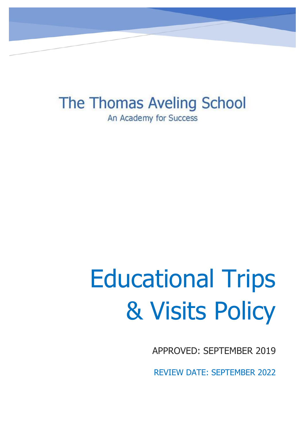The Thomas Aveling School An Academy for Success

# Educational Trips & Visits Policy

APPROVED: SEPTEMBER 2019

REVIEW DATE: SEPTEMBER 2022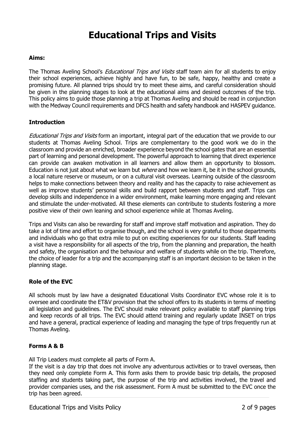# **Educational Trips and Visits**

#### **Aims:**

The Thomas Aveling School's *Educational Trips and Visits* staff team aim for all students to enjoy their school experiences, achieve highly and have fun, to be safe, happy, healthy and create a promising future. All planned trips should try to meet these aims, and careful consideration should be given in the planning stages to look at the educational aims and desired outcomes of the trip. This policy aims to guide those planning a trip at Thomas Aveling and should be read in conjunction with the Medway Council requirements and DFCS health and safety handbook and HASPEV guidance.

# **Introduction**

Educational Trips and Visits form an important, integral part of the education that we provide to our students at Thomas Aveling School. Trips are complementary to the good work we do in the classroom and provide an enriched, broader experience beyond the school gates that are an essential part of learning and personal development. The powerful approach to learning that direct experience can provide can awaken motivation in all learners and allow them an opportunity to blossom. Education is not just about what we learn but *where* and how we learn it, be it in the school grounds, a local nature reserve or museum, or on a cultural visit overseas. Learning outside of the classroom helps to make connections between theory and reality and has the capacity to raise achievement as well as improve students' personal skills and build rapport between students and staff. Trips can develop skills and independence in a wider environment, make learning more engaging and relevant and stimulate the under-motivated. All these elements can contribute to students fostering a more positive view of their own leaning and school experience while at Thomas Aveling.

Trips and Visits can also be rewarding for staff and improve staff motivation and aspiration. They do take a lot of time and effort to organise though, and the school is very grateful to those departments and individuals who go that extra mile to put on exciting experiences for our students. Staff leading a visit have a responsibility for all aspects of the trip, from the planning and preparation, the health and safety, the organisation and the behaviour and welfare of students while on the trip. Therefore, the choice of leader for a trip and the accompanying staff is an important decision to be taken in the planning stage.

#### **Role of the EVC**

All schools must by law have a designated Educational Visits Coordinator EVC whose role it is to oversee and coordinate the ET&V provision that the school offers to its students in terms of meeting all legislation and guidelines. The EVC should make relevant policy available to staff planning trips and keep records of all trips. The EVC should attend training and regularly update INSET on trips and have a general, practical experience of leading and managing the type of trips frequently run at Thomas Aveling.

#### **Forms A & B**

All Trip Leaders must complete all parts of Form A.

If the visit is a day trip that does not involve any adventurous activities or to travel overseas, then they need only complete Form A. This form asks them to provide basic trip details, the proposed staffing and students taking part, the purpose of the trip and activities involved, the travel and provider companies uses, and the risk assessment. Form A must be submitted to the EVC once the trip has been agreed.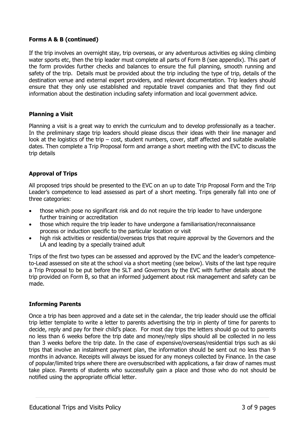# **Forms A & B (continued)**

If the trip involves an overnight stay, trip overseas, or any adventurous activities eg skiing climbing water sports etc, then the trip leader must complete all parts of Form B (see appendix). This part of the form provides further checks and balances to ensure the full planning, smooth running and safety of the trip. Details must be provided about the trip including the type of trip, details of the destination venue and external expert providers, and relevant documentation. Trip leaders should ensure that they only use established and reputable travel companies and that they find out information about the destination including safety information and local government advice.

# **Planning a Visit**

Planning a visit is a great way to enrich the curriculum and to develop professionally as a teacher. In the preliminary stage trip leaders should please discus their ideas with their line manager and look at the logistics of the trip – cost, student numbers, cover, staff affected and suitable available dates. Then complete a Trip Proposal form and arrange a short meeting with the EVC to discuss the trip details

# **Approval of Trips**

All proposed trips should be presented to the EVC on an up to date Trip Proposal Form and the Trip Leader's competence to lead assessed as part of a short meeting. Trips generally fall into one of three categories:

- those which pose no significant risk and do not require the trip leader to have undergone further training or accreditation
- those which require the trip leader to have undergone a familiarisation/reconnaissance process or induction specific to the particular location or visit
- high risk activities or residential/overseas trips that require approval by the Governors and the LA and leading by a specially trained adult

Trips of the first two types can be assessed and approved by the EVC and the leader's competenceto-Lead assessed on site at the school via a short meeting (see below). Visits of the last type require a Trip Proposal to be put before the SLT and Governors by the EVC with further details about the trip provided on Form B, so that an informed judgement about risk management and safety can be made.

# **Informing Parents**

Once a trip has been approved and a date set in the calendar, the trip leader should use the official trip letter template to write a letter to parents advertising the trip in plenty of time for parents to decide, reply and pay for their child's place. For most day trips the letters should go out to parents no less than 6 weeks before the trip date and money/reply slips should all be collected in no less than 3 weeks before the trip date. In the case of expensive/overseas/residential trips such as ski trips that involve an instalment payment plan, the information should be sent out no less than 9 months in advance. Receipts will always be issued for any moneys collected by Finance. In the case of popular/limited trips where there are oversubscribed with applications, a fair draw of names must take place. Parents of students who successfully gain a place and those who do not should be notified using the appropriate official letter.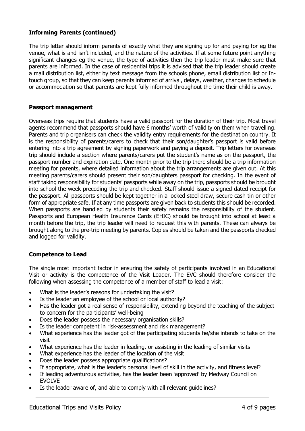# **Informing Parents (continued)**

The trip letter should inform parents of exactly what they are signing up for and paying for eg the venue, what is and isn't included, and the nature of the activities. If at some future point anything significant changes eg the venue, the type of activities then the trip leader must make sure that parents are informed. In the case of residential trips it is advised that the trip leader should create a mail distribution list, either by text message from the schools phone, email distribution list or Intouch group, so that they can keep parents informed of arrival, delays, weather, changes to schedule or accommodation so that parents are kept fully informed throughout the time their child is away.

#### **Passport management**

Overseas trips require that students have a valid passport for the duration of their trip. Most travel agents recommend that passports should have 6 months' worth of validity on them when travelling. Parents and trip organisers can check the validity entry requirements for the destination country. It is the responsibility of parents/carers to check that their son/daughter's passport is valid before entering into a trip agreement by signing paperwork and paying a deposit. Trip letters for overseas trip should include a section where parents/carers put the student's name as on the passport, the passport number and expiration date. One month prior to the trip there should be a trip information meeting for parents, where detailed information about the trip arrangements are given out. At this meeting parents/carers should present their son/daughters passport for checking. In the event of staff taking responsibility for students' passports while away on the trip, passports should be brought into school the week preceding the trip and checked. Staff should issue a signed dated receipt for the passport. All passports should be kept together in a locked steel draw, secure cash tin or other form of appropriate safe. If at any time passports are given back to students this should be recorded. When passports are handled by students their safety remains the responsibility of the student. Passports and European Health Insurance Cards (EHIC) should be brought into school at least a month before the trip, the trip leader will need to request this with parents. These can always be brought along to the pre-trip meeting by parents. Copies should be taken and the passports checked and logged for validity.

# **Competence to Lead**

The single most important factor in ensuring the safety of participants involved in an Educational Visit or activity is the competence of the Visit Leader. The EVC should therefore consider the following when assessing the competence of a member of staff to lead a visit:

- What is the leader's reasons for undertaking the visit?
- Is the leader an employee of the school or local authority?
- Has the leader got a real sense of responsibility, extending beyond the teaching of the subject to concern for the participants' well-being
- Does the leader possess the necessary organisation skills?
- Is the leader competent in risk-assessment and risk management?
- What experience has the leader got of the participating students he/she intends to take on the visit
- What experience has the leader in leading, or assisting in the leading of similar visits
- What experience has the leader of the location of the visit
- Does the leader possess appropriate qualifications?
- If appropriate, what is the leader's personal level of skill in the activity, and fitness level?
- If leading adventurous activities, has the leader been 'approved' by Medway Council on EVOLVE
- Is the leader aware of, and able to comply with all relevant guidelines?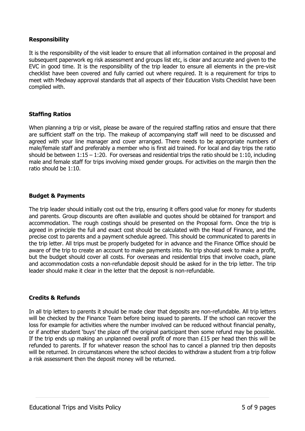#### **Responsibility**

It is the responsibility of the visit leader to ensure that all information contained in the proposal and subsequent paperwork eg risk assessment and groups list etc, is clear and accurate and given to the EVC in good time. It is the responsibility of the trip leader to ensure all elements in the pre-visit checklist have been covered and fully carried out where required. It is a requirement for trips to meet with Medway approval standards that all aspects of their Education Visits Checklist have been complied with.

#### **Staffing Ratios**

When planning a trip or visit, please be aware of the required staffing ratios and ensure that there are sufficient staff on the trip. The makeup of accompanying staff will need to be discussed and agreed with your line manager and cover arranged. There needs to be appropriate numbers of male/female staff and preferably a member who is first aid trained. For local and day trips the ratio should be between  $1:15 - 1:20$ . For overseas and residential trips the ratio should be 1:10, including male and female staff for trips involving mixed gender groups. For activities on the margin then the ratio should be 1:10.

#### **Budget & Payments**

The trip leader should initially cost out the trip, ensuring it offers good value for money for students and parents. Group discounts are often available and quotes should be obtained for transport and accommodation. The rough costings should be presented on the Proposal form. Once the trip is agreed in principle the full and exact cost should be calculated with the Head of Finance, and the precise cost to parents and a payment schedule agreed. This should be communicated to parents in the trip letter. All trips must be properly budgeted for in advance and the Finance Office should be aware of the trip to create an account to make payments into. No trip should seek to make a profit, but the budget should cover all costs. For overseas and residential trips that involve coach, plane and accommodation costs a non-refundable deposit should be asked for in the trip letter. The trip leader should make it clear in the letter that the deposit is non-refundable.

#### **Credits & Refunds**

In all trip letters to parents it should be made clear that deposits are non-refundable. All trip letters will be checked by the Finance Team before being issued to parents. If the school can recover the loss for example for activities where the number involved can be reduced without financial penalty, or if another student 'buys' the place off the original participant then some refund may be possible. If the trip ends up making an unplanned overall profit of more than £15 per head then this will be refunded to parents. If for whatever reason the school has to cancel a planned trip then deposits will be returned. In circumstances where the school decides to withdraw a student from a trip follow a risk assessment then the deposit money will be returned.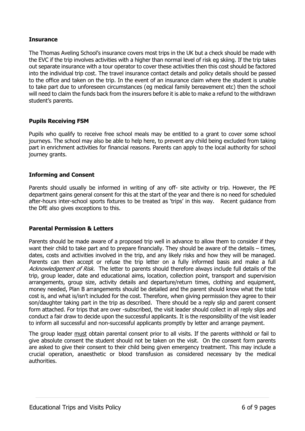# **Insurance**

The Thomas Aveling School's insurance covers most trips in the UK but a check should be made with the EVC if the trip involves activities with a higher than normal level of risk eg skiing. If the trip takes out separate insurance with a tour operator to cover these activities then this cost should be factored into the individual trip cost. The travel insurance contact details and policy details should be passed to the office and taken on the trip. In the event of an insurance claim where the student is unable to take part due to unforeseen circumstances (eg medical family bereavement etc) then the school will need to claim the funds back from the insurers before it is able to make a refund to the withdrawn student's parents.

# **Pupils Receiving FSM**

Pupils who qualify to receive free school meals may be entitled to a grant to cover some school journeys. The school may also be able to help here, to prevent any child being excluded from taking part in enrichment activities for financial reasons. Parents can apply to the local authority for school journey grants.

# **Informing and Consent**

Parents should usually be informed in writing of any off- site activity or trip. However, the PE department gains general consent for this at the start of the year and there is no need for scheduled after-hours inter-school sports fixtures to be treated as 'trips' in this way. Recent guidance from the DfE also gives exceptions to this.

# **Parental Permission & Letters**

Parents should be made aware of a proposed trip well in advance to allow them to consider if they want their child to take part and to prepare financially. They should be aware of the details – times, dates, costs and activities involved in the trip, and any likely risks and how they will be managed. Parents can then accept or refuse the trip letter on a fully informed basis and make a full Acknowledgement of Risk. The letter to parents should therefore always include full details of the trip, group leader, date and educational aims, location, collection point, transport and supervision arrangements, group size, activity details and departure/return times, clothing and equipment, money needed, Plan B arrangements should be detailed and the parent should know what the total cost is, and what is/isn't included for the cost. Therefore, when giving permission they agree to their son/daughter taking part in the trip as described. There should be a reply slip and parent consent form attached. For trips that are over -subscribed, the visit leader should collect in all reply slips and conduct a fair draw to decide upon the successful applicants. It is the responsibility of the visit leader to inform all successful and non-successful applicants promptly by letter and arrange payment.

The group leader must obtain parental consent prior to all visits. If the parents withhold or fail to give absolute consent the student should not be taken on the visit. On the consent form parents are asked to give their consent to their child being given emergency treatment. This may include a crucial operation, anaesthetic or blood transfusion as considered necessary by the medical authorities.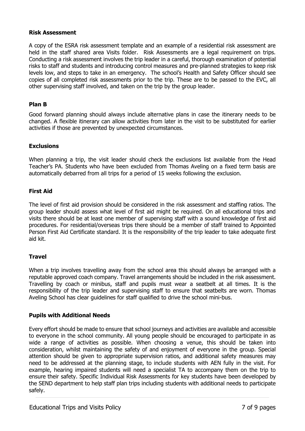# **Risk Assessment**

A copy of the ESRA risk assessment template and an example of a residential risk assessment are held in the staff shared area Visits folder. Risk Assessments are a legal requirement on trips. Conducting a risk assessment involves the trip leader in a careful, thorough examination of potential risks to staff and students and introducing control measures and pre-planned strategies to keep risk levels low, and steps to take in an emergency. The school's Health and Safety Officer should see copies of all completed risk assessments prior to the trip. These are to be passed to the EVC, all other supervising staff involved, and taken on the trip by the group leader.

#### **Plan B**

Good forward planning should always include alternative plans in case the itinerary needs to be changed. A flexible itinerary can allow activities from later in the visit to be substituted for earlier activities if those are prevented by unexpected circumstances.

#### **Exclusions**

When planning a trip, the visit leader should check the exclusions list available from the Head Teacher's PA. Students who have been excluded from Thomas Aveling on a fixed term basis are automatically debarred from all trips for a period of 15 weeks following the exclusion.

#### **First Aid**

The level of first aid provision should be considered in the risk assessment and staffing ratios. The group leader should assess what level of first aid might be required. On all educational trips and visits there should be at least one member of supervising staff with a sound knowledge of first aid procedures. For residential/overseas trips there should be a member of staff trained to Appointed Person First Aid Certificate standard. It is the responsibility of the trip leader to take adequate first aid kit.

# **Travel**

When a trip involves travelling away from the school area this should always be arranged with a reputable approved coach company. Travel arrangements should be included in the risk assessment. Travelling by coach or minibus, staff and pupils must wear a seatbelt at all times. It is the responsibility of the trip leader and supervising staff to ensure that seatbelts are worn. Thomas Aveling School has clear guidelines for staff qualified to drive the school mini-bus.

# **Pupils with Additional Needs**

Every effort should be made to ensure that school journeys and activities are available and accessible to everyone in the school community. All young people should be encouraged to participate in as wide a range of activities as possible. When choosing a venue, this should be taken into consideration, whilst maintaining the safety of and enjoyment of everyone in the group. Special attention should be given to appropriate supervision ratios, and additional safety measures may need to be addressed at the planning stage, to include students with AEN fully in the visit. For example, hearing impaired students will need a specialist TA to accompany them on the trip to ensure their safety. Specific Individual Risk Assessments for key students have been developed by the SEND department to help staff plan trips including students with additional needs to participate safely.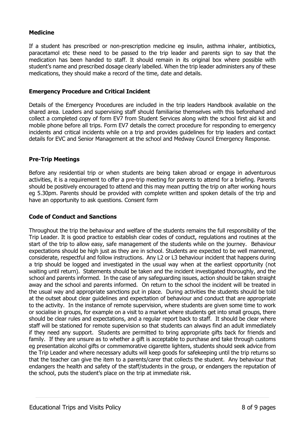# **Medicine**

If a student has prescribed or non-prescription medicine eg insulin, asthma inhaler, antibiotics, paracetamol etc these need to be passed to the trip leader and parents sign to say that the medication has been handed to staff. It should remain in its original box where possible with student's name and prescribed dosage clearly labelled. When the trip leader administers any of these medications, they should make a record of the time, date and details.

#### **Emergency Procedure and Critical Incident**

Details of the Emergency Procedures are included in the trip leaders Handbook available on the shared area. Leaders and supervising staff should familiarise themselves with this beforehand and collect a completed copy of form EV7 from Student Services along with the school first aid kit and mobile phone before all trips. Form EV7 details the correct procedure for responding to emergency incidents and critical incidents while on a trip and provides guidelines for trip leaders and contact details for EVC and Senior Management at the school and Medway Council Emergency Response.

# **Pre-Trip Meetings**

Before any residential trip or when students are being taken abroad or engage in adventurous activities, it is a requirement to offer a pre-trip meeting for parents to attend for a briefing. Parents should be positively encouraged to attend and this may mean putting the trip on after working hours eg 5.30pm. Parents should be provided with complete written and spoken details of the trip and have an opportunity to ask questions. Consent form

# **Code of Conduct and Sanctions**

Throughout the trip the behaviour and welfare of the students remains the full responsibility of the Trip Leader. It is good practice to establish clear codes of conduct, regulations and routines at the start of the trip to allow easy, safe management of the students while on the journey. Behaviour expectations should be high just as they are in school. Students are expected to be well mannered, considerate, respectful and follow instructions. Any L2 or L3 behaviour incident that happens during a trip should be logged and investigated in the usual way when at the earliest opportunity (not waiting until return). Statements should be taken and the incident investigated thoroughly, and the school and parents informed. In the case of any safeguarding issues, action should be taken straight away and the school and parents informed. On return to the school the incident will be treated in the usual way and appropriate sanctions put in place. During activities the students should be told at the outset about clear guidelines and expectation of behaviour and conduct that are appropriate to the activity. In the instance of remote supervision, where students are given some time to work or socialise in groups, for example on a visit to a market where students get into small groups, there should be clear rules and expectations, and a regular report back to staff. It should be clear where staff will be stationed for remote supervision so that students can always find an adult immediately if they need any support. Students are permitted to bring appropriate gifts back for friends and family. If they are unsure as to whether a gift is acceptable to purchase and take through customs eg presentation alcohol gifts or commemorative cigarette lighters, students should seek advice from the Trip Leader and where necessary adults will keep goods for safekeeping until the trip returns so that the teacher can give the item to a parents/carer that collects the student. Any behaviour that endangers the health and safety of the staff/students in the group, or endangers the reputation of the school, puts the student's place on the trip at immediate risk.